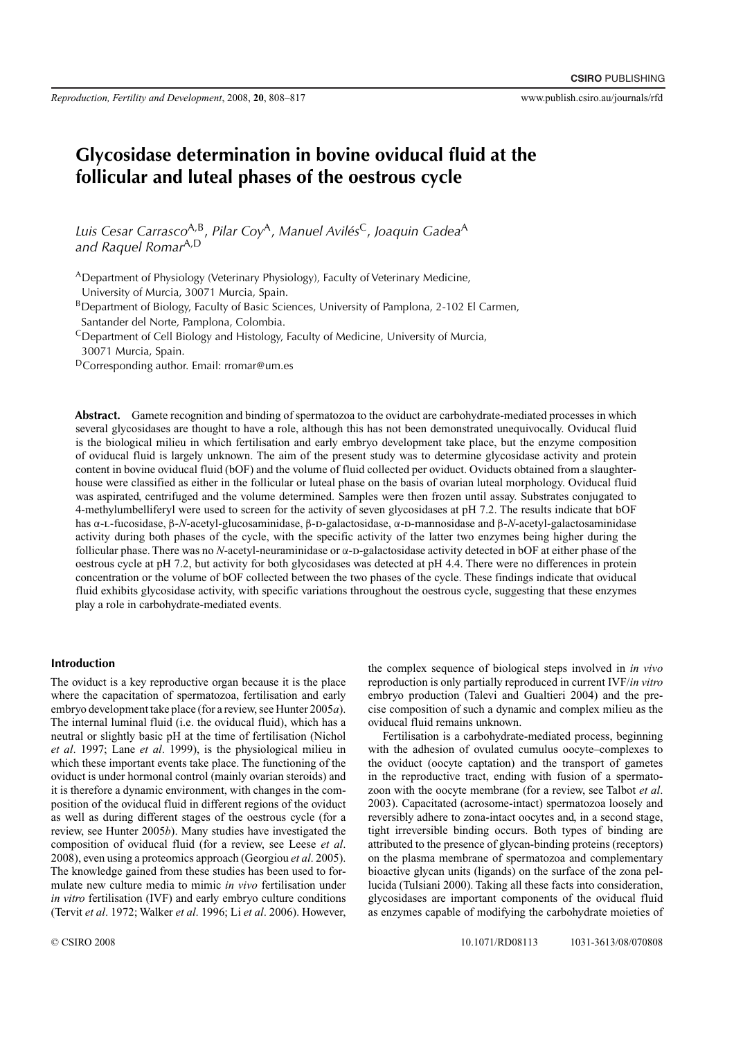# **Glycosidase determination in bovine oviducal fluid at the follicular and luteal phases of the oestrous cycle**

*Luis Cesar Carrasco*A,B, *Pilar Coy*A, *Manuel Avilés*C, *Joaquin Gadea*<sup>A</sup> *and Raquel Romar*A,D

ADepartment of Physiology (Veterinary Physiology), Faculty of Veterinary Medicine, University of Murcia, 30071 Murcia, Spain.

BDepartment of Biology, Faculty of Basic Sciences, University of Pamplona, 2-102 El Carmen, Santander del Norte, Pamplona, Colombia.

 $\text{C}$ Department of Cell Biology and Histology, Faculty of Medicine, University of Murcia,

30071 Murcia, Spain.

DCorresponding author. Email: rromar@um.es

**Abstract.** Gamete recognition and binding of spermatozoa to the oviduct are carbohydrate-mediated processes in which several glycosidases are thought to have a role, although this has not been demonstrated unequivocally. Oviducal fluid is the biological milieu in which fertilisation and early embryo development take place, but the enzyme composition of oviducal fluid is largely unknown. The aim of the present study was to determine glycosidase activity and protein content in bovine oviducal fluid (bOF) and the volume of fluid collected per oviduct. Oviducts obtained from a slaughterhouse were classified as either in the follicular or luteal phase on the basis of ovarian luteal morphology. Oviducal fluid was aspirated, centrifuged and the volume determined. Samples were then frozen until assay. Substrates conjugated to 4-methylumbelliferyl were used to screen for the activity of seven glycosidases at pH 7.2. The results indicate that bOF has α-L-fucosidase, β-*N*-acetyl-glucosaminidase, β-D-galactosidase, α-D-mannosidase and β-*N*-acetyl-galactosaminidase activity during both phases of the cycle, with the specific activity of the latter two enzymes being higher during the follicular phase. There was no *N*-acetyl-neuraminidase or α-D-galactosidase activity detected in bOF at either phase of the oestrous cycle at pH 7.2, but activity for both glycosidases was detected at pH 4.4. There were no differences in protein concentration or the volume of bOF collected between the two phases of the cycle. These findings indicate that oviducal fluid exhibits glycosidase activity, with specific variations throughout the oestrous cycle, suggesting that these enzymes play a role in carbohydrate-mediated events.

## **Introduction**

The oviduct is a key reproductive organ because it is the place where the capacitation of spermatozoa, fertilisation and early embryo development take place (for a review, see Hunter 2005*a*). The internal luminal fluid (i.e. the oviducal fluid), which has a neutral or slightly basic pH at the time of fertilisation (Nichol *et al*. 1997; Lane *et al*. 1999), is the physiological milieu in which these important events take place. The functioning of the oviduct is under hormonal control (mainly ovarian steroids) and it is therefore a dynamic environment, with changes in the composition of the oviducal fluid in different regions of the oviduct as well as during different stages of the oestrous cycle (for a review, see Hunter 2005*b*). Many studies have investigated the composition of oviducal fluid (for a review, see Leese *et al*. 2008), even using a proteomics approach (Georgiou *et al*. 2005). The knowledge gained from these studies has been used to formulate new culture media to mimic *in vivo* fertilisation under *in vitro* fertilisation (IVF) and early embryo culture conditions (Tervit *et al*. 1972; Walker *et al*. 1996; Li *et al*. 2006). However, the complex sequence of biological steps involved in *in vivo* reproduction is only partially reproduced in current IVF/*in vitro* embryo production (Talevi and Gualtieri 2004) and the precise composition of such a dynamic and complex milieu as the oviducal fluid remains unknown.

Fertilisation is a carbohydrate-mediated process, beginning with the adhesion of ovulated cumulus oocyte–complexes to the oviduct (oocyte captation) and the transport of gametes in the reproductive tract, ending with fusion of a spermatozoon with the oocyte membrane (for a review, see Talbot *et al*. 2003). Capacitated (acrosome-intact) spermatozoa loosely and reversibly adhere to zona-intact oocytes and, in a second stage, tight irreversible binding occurs. Both types of binding are attributed to the presence of glycan-binding proteins (receptors) on the plasma membrane of spermatozoa and complementary bioactive glycan units (ligands) on the surface of the zona pellucida (Tulsiani 2000). Taking all these facts into consideration, glycosidases are important components of the oviducal fluid as enzymes capable of modifying the carbohydrate moieties of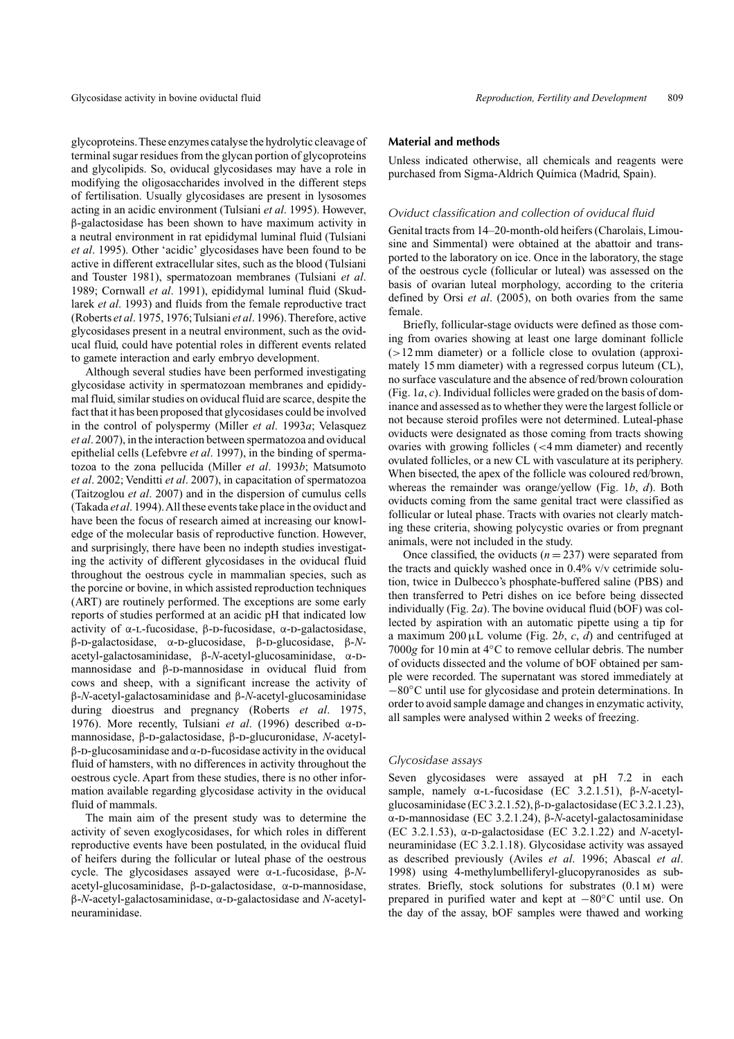glycoproteins.These enzymes catalyse the hydrolytic cleavage of terminal sugar residues from the glycan portion of glycoproteins and glycolipids. So, oviducal glycosidases may have a role in modifying the oligosaccharides involved in the different steps of fertilisation. Usually glycosidases are present in lysosomes acting in an acidic environment (Tulsiani *et al*. 1995). However, β-galactosidase has been shown to have maximum activity in a neutral environment in rat epididymal luminal fluid (Tulsiani *et al*. 1995). Other 'acidic' glycosidases have been found to be active in different extracellular sites, such as the blood (Tulsiani and Touster 1981), spermatozoan membranes (Tulsiani *et al*. 1989; Cornwall *et al*. 1991), epididymal luminal fluid (Skudlarek *et al*. 1993) and fluids from the female reproductive tract (Roberts *et al*. 1975, 1976;Tulsiani *et al*. 1996).Therefore, active glycosidases present in a neutral environment, such as the oviducal fluid, could have potential roles in different events related to gamete interaction and early embryo development.

Although several studies have been performed investigating glycosidase activity in spermatozoan membranes and epididymal fluid, similar studies on oviducal fluid are scarce, despite the fact that it has been proposed that glycosidases could be involved in the control of polyspermy (Miller *et al*. 1993*a*; Velasquez *et al*. 2007), in the interaction between spermatozoa and oviducal epithelial cells (Lefebvre *et al*. 1997), in the binding of spermatozoa to the zona pellucida (Miller *et al*. 1993*b*; Matsumoto *et al*. 2002; Venditti *et al*. 2007), in capacitation of spermatozoa (Taitzoglou *et al*. 2007) and in the dispersion of cumulus cells (Takada *et al*. 1994).All these events take place in the oviduct and have been the focus of research aimed at increasing our knowledge of the molecular basis of reproductive function. However, and surprisingly, there have been no indepth studies investigating the activity of different glycosidases in the oviducal fluid throughout the oestrous cycle in mammalian species, such as the porcine or bovine, in which assisted reproduction techniques (ART) are routinely performed. The exceptions are some early reports of studies performed at an acidic pH that indicated low activity of  $α$ -L-fucosidase,  $β$ -D-fucosidase,  $α$ -D-galactosidase, β-d-galactosidase, α-d-glucosidase, β-d-glucosidase, β-*N*acetyl-galactosaminidase, β-*N*-acetyl-glucosaminidase, α-Dmannosidase and  $\beta$ -D-mannosidase in oviducal fluid from cows and sheep, with a significant increase the activity of β-*N*-acetyl-galactosaminidase and β-*N*-acetyl-glucosaminidase during dioestrus and pregnancy (Roberts *et al*. 1975, 1976). More recently, Tulsiani *et al.* (1996) described α-Dmannosidase, β-D-galactosidase, β-D-glucuronidase, *N*-acetyl $β$ -D-glucosaminidase and  $α$ -D-fucosidase activity in the oviducal fluid of hamsters, with no differences in activity throughout the oestrous cycle. Apart from these studies, there is no other information available regarding glycosidase activity in the oviducal fluid of mammals.

The main aim of the present study was to determine the activity of seven exoglycosidases, for which roles in different reproductive events have been postulated, in the oviducal fluid of heifers during the follicular or luteal phase of the oestrous cycle. The glycosidases assayed were α-l-fucosidase, β-*N*acetyl-glucosaminidase, β-D-galactosidase, α-D-mannosidase, β-*N*-acetyl-galactosaminidase, α-d-galactosidase and *N*-acetylneuraminidase.

# **Material and methods**

Unless indicated otherwise, all chemicals and reagents were purchased from Sigma-Aldrich Química (Madrid, Spain).

#### *Oviduct classification and collection of oviducal fluid*

Genital tracts from 14–20-month-old heifers (Charolais, Limousine and Simmental) were obtained at the abattoir and transported to the laboratory on ice. Once in the laboratory, the stage of the oestrous cycle (follicular or luteal) was assessed on the basis of ovarian luteal morphology, according to the criteria defined by Orsi *et al*. (2005), on both ovaries from the same female.

Briefly, follicular-stage oviducts were defined as those coming from ovaries showing at least one large dominant follicle (*>*12 mm diameter) or a follicle close to ovulation (approximately 15 mm diameter) with a regressed corpus luteum (CL), no surface vasculature and the absence of red/brown colouration (Fig. 1*a*, *c*). Individual follicles were graded on the basis of dominance and assessed as to whether they were the largest follicle or not because steroid profiles were not determined. Luteal-phase oviducts were designated as those coming from tracts showing ovaries with growing follicles (*<*4 mm diameter) and recently ovulated follicles, or a new CL with vasculature at its periphery. When bisected, the apex of the follicle was coloured red/brown, whereas the remainder was orange/yellow (Fig. 1*b*, *d*). Both oviducts coming from the same genital tract were classified as follicular or luteal phase. Tracts with ovaries not clearly matching these criteria, showing polycystic ovaries or from pregnant animals, were not included in the study.

Once classified, the oviducts  $(n = 237)$  were separated from the tracts and quickly washed once in 0.4% v/v cetrimide solution, twice in Dulbecco's phosphate-buffered saline (PBS) and then transferred to Petri dishes on ice before being dissected individually (Fig. 2*a*). The bovine oviducal fluid (bOF) was collected by aspiration with an automatic pipette using a tip for a maximum  $200 \mu L$  volume (Fig. 2*b*, *c*, *d*) and centrifuged at 7000*g* for 10 min at 4◦C to remove cellular debris. The number of oviducts dissected and the volume of bOF obtained per sample were recorded. The supernatant was stored immediately at −80◦C until use for glycosidase and protein determinations. In order to avoid sample damage and changes in enzymatic activity, all samples were analysed within 2 weeks of freezing.

#### *Glycosidase assays*

Seven glycosidases were assayed at pH 7.2 in each sample, namely α-l-fucosidase (EC 3.2.1.51), β-*N*-acetylglucosaminidase (EC 3.2.1.52), β-D-galactosidase (EC 3.2.1.23), α-d-mannosidase (EC 3.2.1.24), β-*N*-acetyl-galactosaminidase (EC 3.2.1.53), α-D-galactosidase (EC 3.2.1.22) and *N*-acetylneuraminidase (EC 3.2.1.18). Glycosidase activity was assayed as described previously (Aviles *et al*. 1996; Abascal *et al*. 1998) using 4-methylumbelliferyl-glucopyranosides as substrates. Briefly, stock solutions for substrates (0.1 m) were prepared in purified water and kept at −80◦C until use. On the day of the assay, bOF samples were thawed and working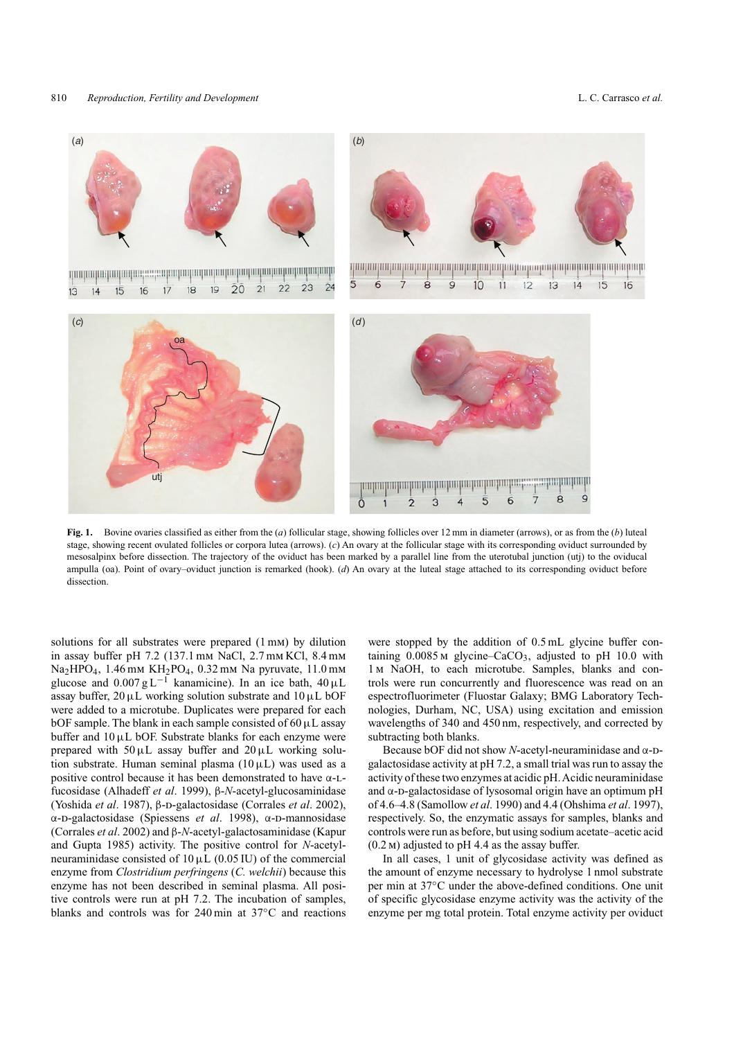

**Fig. 1.** Bovine ovaries classified as either from the (*a*) follicular stage, showing follicles over 12 mm in diameter (arrows), or as from the (*b*) luteal stage, showing recent ovulated follicles or corpora lutea (arrows). (*c*) An ovary at the follicular stage with its corresponding oviduct surrounded by mesosalpinx before dissection. The trajectory of the oviduct has been marked by a parallel line from the uterotubal junction (utj) to the oviducal ampulla (oa). Point of ovary–oviduct junction is remarked (hook). (*d*) An ovary at the luteal stage attached to its corresponding oviduct before dissection.

solutions for all substrates were prepared (1 mm) by dilution in assay buffer pH 7.2 (137.1 mm NaCl, 2.7 mm KCl, 8.4 mm Na<sub>2</sub>HPO<sub>4</sub>, 1.46 mm KH<sub>2</sub>PO<sub>4</sub>, 0.32 mm Na pyruvate, 11.0 mm glucose and  $0.007 \text{ g L}^{-1}$  kanamicine). In an ice bath,  $40 \mu\text{L}$ assay buffer,  $20 \mu L$  working solution substrate and  $10 \mu L$  bOF were added to a microtube. Duplicates were prepared for each bOF sample. The blank in each sample consisted of  $60 \mu L$  assay buffer and  $10 \mu L$  bOF. Substrate blanks for each enzyme were prepared with  $50 \mu L$  assay buffer and  $20 \mu L$  working solution substrate. Human seminal plasma  $(10 \,\mu L)$  was used as a positive control because it has been demonstrated to have α-lfucosidase (Alhadeff *et al*. 1999), β-*N*-acetyl-glucosaminidase (Yoshida *et al.* 1987), β-D-galactosidase (Corrales *et al.* 2002), α-D-galactosidase (Spiessens *et al.* 1998), α-D-mannosidase (Corrales *et al*. 2002) and β-*N*-acetyl-galactosaminidase (Kapur and Gupta 1985) activity. The positive control for *N*-acetylneuraminidase consisted of  $10 \mu L$  (0.05 IU) of the commercial enzyme from *Clostridium perfringens* (*C. welchii*) because this enzyme has not been described in seminal plasma. All positive controls were run at pH 7.2. The incubation of samples, blanks and controls was for 240 min at 37◦C and reactions

were stopped by the addition of 0.5 mL glycine buffer containing  $0.0085$  M glycine–CaCO<sub>3</sub>, adjusted to pH 10.0 with 1m NaOH, to each microtube. Samples, blanks and controls were run concurrently and fluorescence was read on an espectrofluorimeter (Fluostar Galaxy; BMG Laboratory Technologies, Durham, NC, USA) using excitation and emission wavelengths of 340 and 450 nm, respectively, and corrected by subtracting both blanks.

Because bOF did not show *N*-acetyl-neuraminidase and α-Dgalactosidase activity at pH 7.2, a small trial was run to assay the activity of these two enzymes at acidic pH.Acidic neuraminidase and  $\alpha$ -D-galactosidase of lysosomal origin have an optimum pH of 4.6–4.8 (Samollow *et al*. 1990) and 4.4 (Ohshima *et al*. 1997), respectively. So, the enzymatic assays for samples, blanks and controls were run as before, but using sodium acetate–acetic acid  $(0.2 \text{ m})$  adjusted to pH 4.4 as the assay buffer.

In all cases, 1 unit of glycosidase activity was defined as the amount of enzyme necessary to hydrolyse 1 nmol substrate per min at 37◦C under the above-defined conditions. One unit of specific glycosidase enzyme activity was the activity of the enzyme per mg total protein. Total enzyme activity per oviduct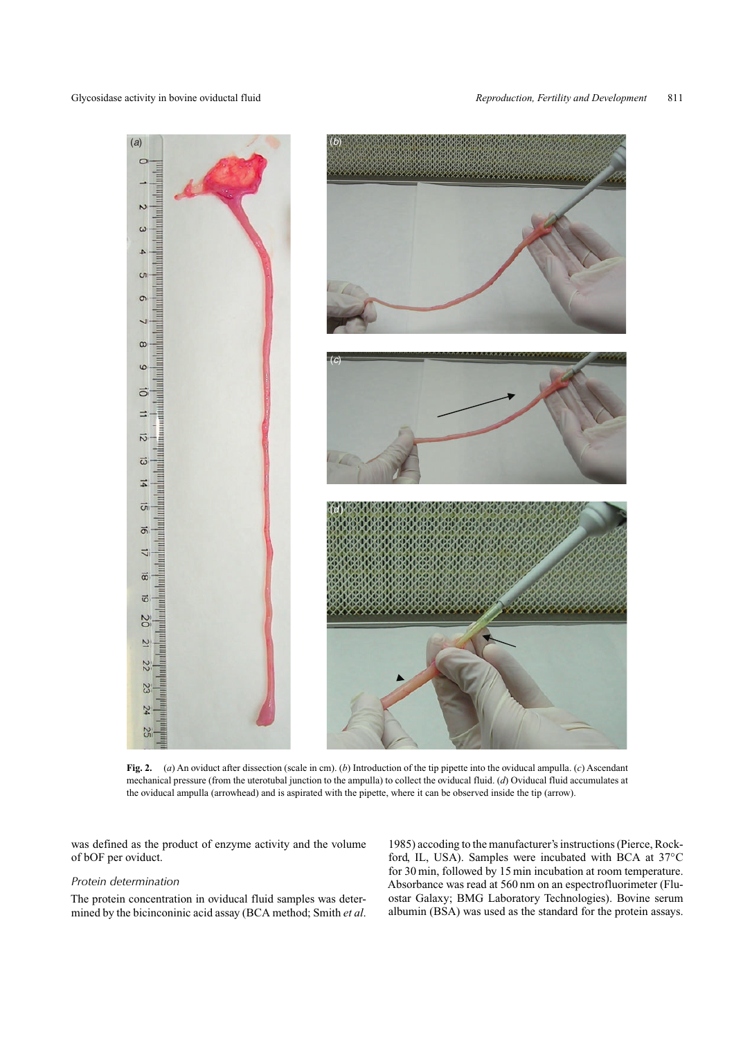

**Fig. 2.** (*a*) An oviduct after dissection (scale in cm). (*b*) Introduction of the tip pipette into the oviducal ampulla. (*c*) Ascendant mechanical pressure (from the uterotubal junction to the ampulla) to collect the oviducal fluid. (*d*) Oviducal fluid accumulates at the oviducal ampulla (arrowhead) and is aspirated with the pipette, where it can be observed inside the tip (arrow).

was defined as the product of enzyme activity and the volume of bOF per oviduct.

#### *Protein determination*

The protein concentration in oviducal fluid samples was determined by the bicinconinic acid assay (BCA method; Smith *et al*.

1985) accoding to the manufacturer's instructions (Pierce, Rockford, IL, USA). Samples were incubated with BCA at 37◦C for 30 min, followed by 15 min incubation at room temperature. Absorbance was read at 560 nm on an espectrofluorimeter (Fluostar Galaxy; BMG Laboratory Technologies). Bovine serum albumin (BSA) was used as the standard for the protein assays.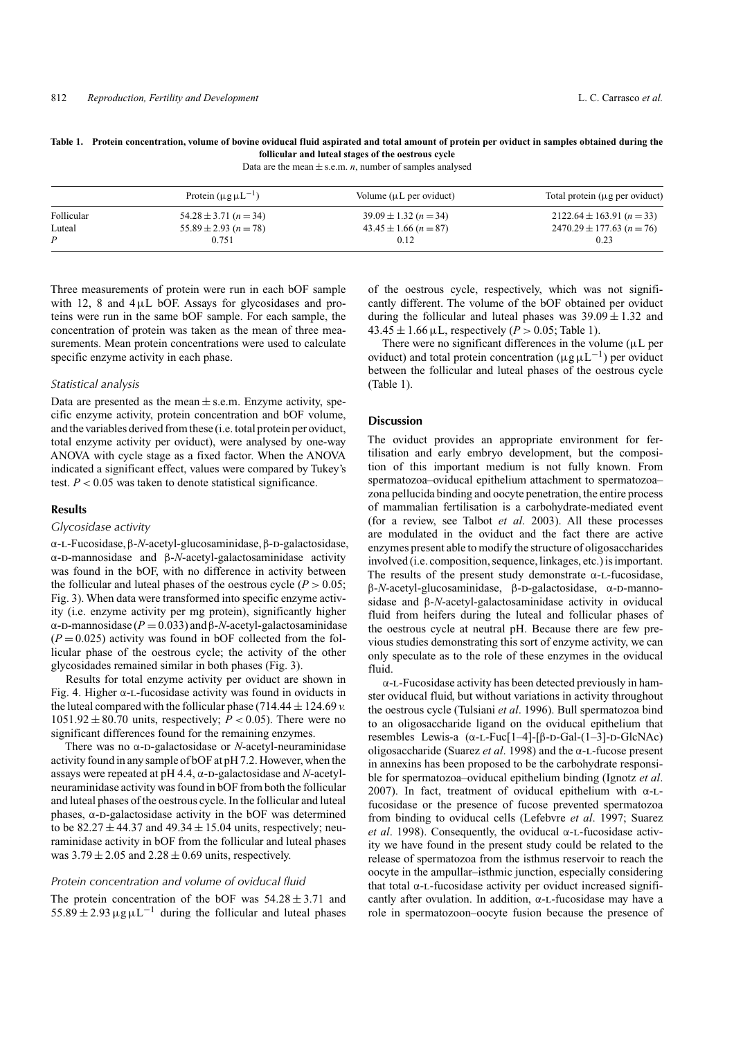#### **Table 1. Protein concentration, volume of bovine oviducal fluid aspirated and total amount of protein per oviduct in samples obtained during the follicular and luteal stages of the oestrous cycle**

Data are the mean  $\pm$  s.e.m. *n*, number of samples analysed

|            | Protein $(\mu g \mu L^{-1})$ | Volume $(\mu L$ per oviduct)      | Total protein $(\mu g$ per oviduct) |
|------------|------------------------------|-----------------------------------|-------------------------------------|
| Follicular | $54.28 \pm 3.71$ $(n = 34)$  | $39.09 \pm 1.32$ (n = 34)         | $2122.64 \pm 163.91 (n=33)$         |
| Luteal     | $55.89 \pm 2.93$ (n = 78)    | $43.45 \pm 1.66$ ( <i>n</i> = 87) | $2470.29 \pm 177.63$ (n = 76)       |
| D          | 0.751                        | 0.12                              | 0.23                                |

Three measurements of protein were run in each bOF sample with 12, 8 and  $4\mu$ L bOF. Assays for glycosidases and proteins were run in the same bOF sample. For each sample, the concentration of protein was taken as the mean of three measurements. Mean protein concentrations were used to calculate specific enzyme activity in each phase.

#### *Statistical analysis*

Data are presented as the mean  $\pm$  s.e.m. Enzyme activity, specific enzyme activity, protein concentration and bOF volume, and the variables derived from these (i.e. total protein per oviduct, total enzyme activity per oviduct), were analysed by one-way ANOVA with cycle stage as a fixed factor. When the ANOVA indicated a significant effect, values were compared by Tukey's test.  $P < 0.05$  was taken to denote statistical significance.

### **Results**

## *Glycosidase activity*

α-L-Fucosidase, β-*N*-acetyl-glucosaminidase, β-D-galactosidase, α-d-mannosidase and β-*N*-acetyl-galactosaminidase activity was found in the bOF, with no difference in activity between the follicular and luteal phases of the oestrous cycle  $(P > 0.05)$ ; Fig. 3). When data were transformed into specific enzyme activity (i.e. enzyme activity per mg protein), significantly higher  $\alpha$ -D-mannosidase ( $P = 0.033$ ) and  $\beta$ -*N*-acetyl-galactosaminidase  $(P = 0.025)$  activity was found in bOF collected from the follicular phase of the oestrous cycle; the activity of the other glycosidades remained similar in both phases (Fig. 3).

Results for total enzyme activity per oviduct are shown in Fig. 4. Higher  $\alpha$ -L-fucosidase activity was found in oviducts in the luteal compared with the follicular phase (714.44  $\pm$  124.69 *v*. 1051.92  $\pm$  80.70 units, respectively;  $P < 0.05$ ). There were no significant differences found for the remaining enzymes.

There was no  $\alpha$ -D-galactosidase or *N*-acetyl-neuraminidase activity found in any sample of bOF at pH 7.2. However, when the assays were repeated at pH 4.4, α-D-galactosidase and *N*-acetylneuraminidase activity was found in bOF from both the follicular and luteal phases of the oestrous cycle. In the follicular and luteal phases,  $α$ -D-galactosidase activity in the bOF was determined to be  $82.27 \pm 44.37$  and  $49.34 \pm 15.04$  units, respectively; neuraminidase activity in bOF from the follicular and luteal phases was  $3.79 \pm 2.05$  and  $2.28 \pm 0.69$  units, respectively.

#### *Protein concentration and volume of oviducal fluid*

The protein concentration of the bOF was  $54.28 \pm 3.71$  and  $55.89 \pm 2.93 \,\mu g \,\mu L^{-1}$  during the follicular and luteal phases of the oestrous cycle, respectively, which was not significantly different. The volume of the bOF obtained per oviduct during the follicular and luteal phases was  $39.09 \pm 1.32$  and  $43.45 \pm 1.66 \,\mu L$ , respectively (*P* > 0.05; Table 1).

There were no significant differences in the volume ( $\mu$ L per oviduct) and total protein concentration ( $\mu$ g $\mu$ L<sup>-1</sup>) per oviduct between the follicular and luteal phases of the oestrous cycle (Table 1).

# **Discussion**

The oviduct provides an appropriate environment for fertilisation and early embryo development, but the composition of this important medium is not fully known. From spermatozoa–oviducal epithelium attachment to spermatozoa– zona pellucida binding and oocyte penetration, the entire process of mammalian fertilisation is a carbohydrate-mediated event (for a review, see Talbot *et al*. 2003). All these processes are modulated in the oviduct and the fact there are active enzymes present able to modify the structure of oligosaccharides involved (i.e. composition, sequence, linkages, etc.) is important. The results of the present study demonstrate  $\alpha$ -L-fucosidase, β-*N*-acetyl-glucosaminidase, β-d-galactosidase, α-d-mannosidase and β-*N*-acetyl-galactosaminidase activity in oviducal fluid from heifers during the luteal and follicular phases of the oestrous cycle at neutral pH. Because there are few previous studies demonstrating this sort of enzyme activity, we can only speculate as to the role of these enzymes in the oviducal fluid.

α-l-Fucosidase activity has been detected previously in hamster oviducal fluid, but without variations in activity throughout the oestrous cycle (Tulsiani *et al*. 1996). Bull spermatozoa bind to an oligosaccharide ligand on the oviducal epithelium that resembles Lewis-a (α-L-Fuc[1–4]-[β-D-Gal-(1–3]-D-GlcNAc) oligosaccharide (Suarez *et al*. 1998) and the α-l-fucose present in annexins has been proposed to be the carbohydrate responsible for spermatozoa–oviducal epithelium binding (Ignotz *et al*. 2007). In fact, treatment of oviducal epithelium with α-lfucosidase or the presence of fucose prevented spermatozoa from binding to oviducal cells (Lefebvre *et al*. 1997; Suarez *et al.* 1998). Consequently, the oviducal α-L-fucosidase activity we have found in the present study could be related to the release of spermatozoa from the isthmus reservoir to reach the oocyte in the ampullar–isthmic junction, especially considering that total α-L-fucosidase activity per oviduct increased significantly after ovulation. In addition,  $\alpha$ -L-fucosidase may have a role in spermatozoon–oocyte fusion because the presence of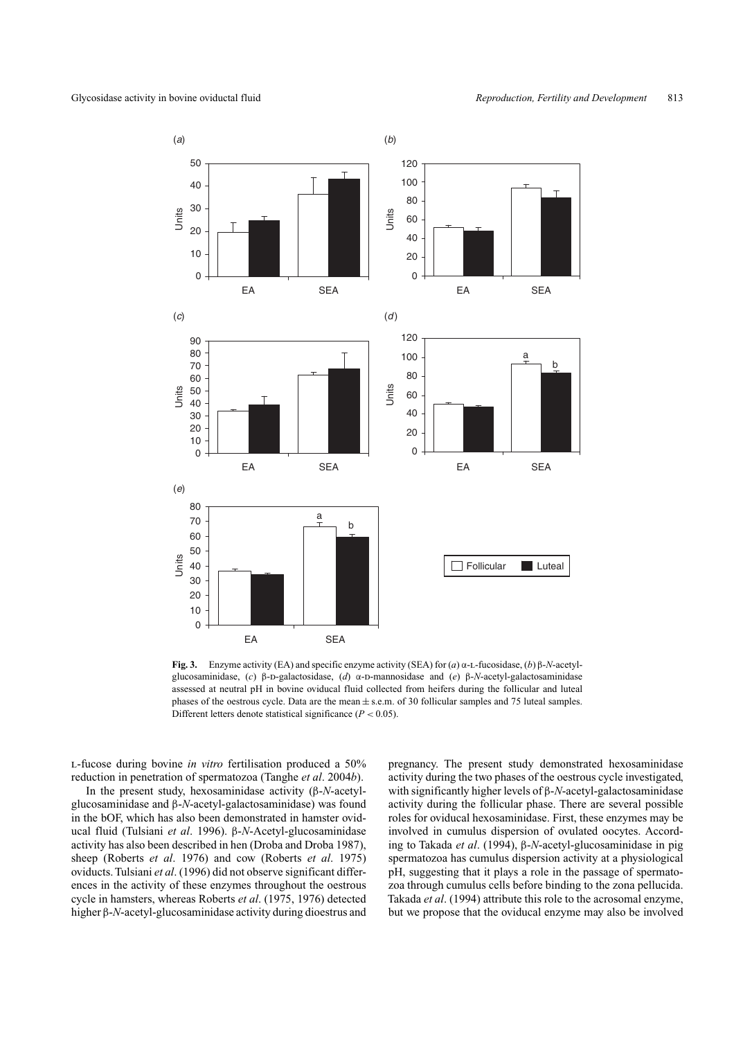

**Fig. 3.** Enzyme activity (EA) and specific enzyme activity (SEA) for (*a*) α-l-fucosidase, (*b*) β-*N*-acetylglucosaminidase, (*c*) β-D-galactosidase, (*d*) α-D-mannosidase and (*e*) β-*N*-acetyl-galactosaminidase assessed at neutral pH in bovine oviducal fluid collected from heifers during the follicular and luteal phases of the oestrous cycle. Data are the mean  $\pm$  s.e.m. of 30 follicular samples and 75 luteal samples. Different letters denote statistical significance (*P <* 0.05).

l-fucose during bovine *in vitro* fertilisation produced a 50% reduction in penetration of spermatozoa (Tanghe *et al*. 2004*b*).

In the present study, hexosaminidase activity (β-*N*-acetylglucosaminidase and β-*N*-acetyl-galactosaminidase) was found in the bOF, which has also been demonstrated in hamster oviducal fluid (Tulsiani *et al*. 1996). β-*N*-Acetyl-glucosaminidase activity has also been described in hen (Droba and Droba 1987), sheep (Roberts *et al*. 1976) and cow (Roberts *et al*. 1975) oviducts. Tulsiani *et al*. (1996) did not observe significant differences in the activity of these enzymes throughout the oestrous cycle in hamsters, whereas Roberts *et al*. (1975, 1976) detected higher β-*N*-acetyl-glucosaminidase activity during dioestrus and pregnancy. The present study demonstrated hexosaminidase activity during the two phases of the oestrous cycle investigated, with significantly higher levels of β-*N*-acetyl-galactosaminidase activity during the follicular phase. There are several possible roles for oviducal hexosaminidase. First, these enzymes may be involved in cumulus dispersion of ovulated oocytes. According to Takada *et al*. (1994), β-*N*-acetyl-glucosaminidase in pig spermatozoa has cumulus dispersion activity at a physiological pH, suggesting that it plays a role in the passage of spermatozoa through cumulus cells before binding to the zona pellucida. Takada *et al*. (1994) attribute this role to the acrosomal enzyme, but we propose that the oviducal enzyme may also be involved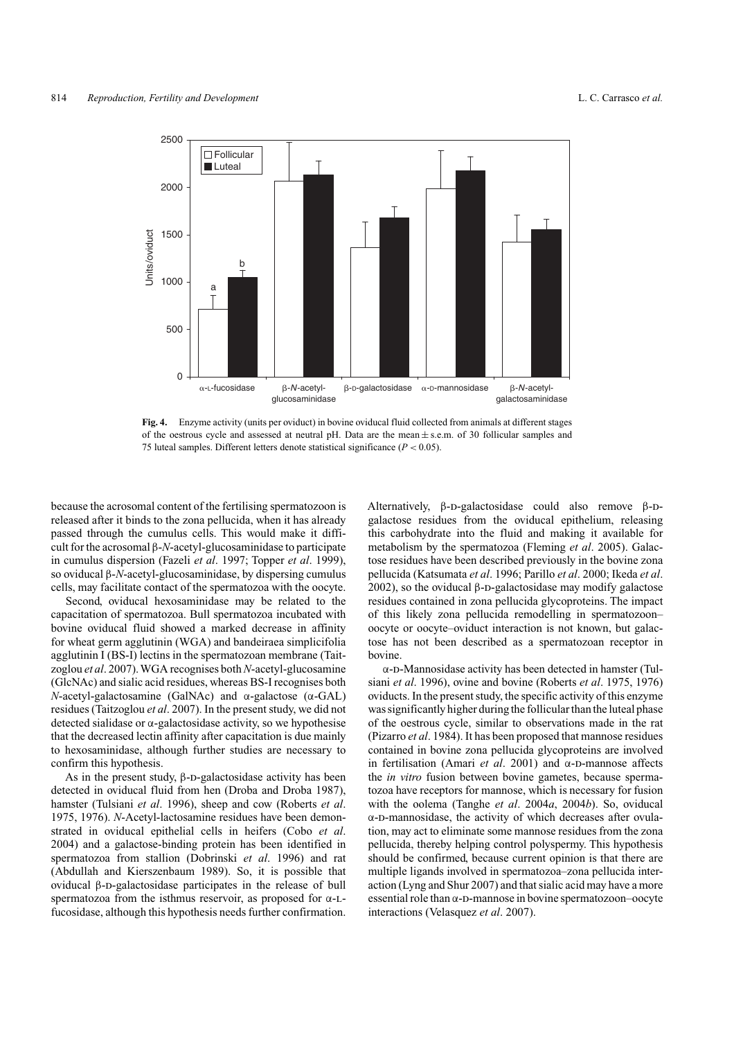

**Fig. 4.** Enzyme activity (units per oviduct) in bovine oviducal fluid collected from animals at different stages of the oestrous cycle and assessed at neutral pH. Data are the mean  $\pm$  s.e.m. of 30 follicular samples and 75 luteal samples. Different letters denote statistical significance (*P <* 0.05).

because the acrosomal content of the fertilising spermatozoon is released after it binds to the zona pellucida, when it has already passed through the cumulus cells. This would make it difficult for the acrosomal β-*N*-acetyl-glucosaminidase to participate in cumulus dispersion (Fazeli *et al*. 1997; Topper *et al*. 1999), so oviducal β-*N*-acetyl-glucosaminidase, by dispersing cumulus cells, may facilitate contact of the spermatozoa with the oocyte.

Second, oviducal hexosaminidase may be related to the capacitation of spermatozoa. Bull spermatozoa incubated with bovine oviducal fluid showed a marked decrease in affinity for wheat germ agglutinin (WGA) and bandeiraea simplicifolia agglutinin I (BS-I) lectins in the spermatozoan membrane (Taitzoglou *et al*. 2007). WGA recognises both*N*-acetyl-glucosamine (GlcNAc) and sialic acid residues, whereas BS-I recognises both *N*-acetyl-galactosamine (GalNAc) and α-galactose (α-GAL) residues (Taitzoglou *et al*. 2007). In the present study, we did not detected sialidase or  $\alpha$ -galactosidase activity, so we hypothesise that the decreased lectin affinity after capacitation is due mainly to hexosaminidase, although further studies are necessary to confirm this hypothesis.

As in the present study,  $\beta$ -D-galactosidase activity has been detected in oviducal fluid from hen (Droba and Droba 1987), hamster (Tulsiani *et al*. 1996), sheep and cow (Roberts *et al*. 1975, 1976). *N*-Acetyl-lactosamine residues have been demonstrated in oviducal epithelial cells in heifers (Cobo *et al*. 2004) and a galactose-binding protein has been identified in spermatozoa from stallion (Dobrinski *et al*. 1996) and rat (Abdullah and Kierszenbaum 1989). So, it is possible that oviducal β-D-galactosidase participates in the release of bull spermatozoa from the isthmus reservoir, as proposed for α-lfucosidase, although this hypothesis needs further confirmation. Alternatively,  $\beta$ -D-galactosidase could also remove  $\beta$ -Dgalactose residues from the oviducal epithelium, releasing this carbohydrate into the fluid and making it available for metabolism by the spermatozoa (Fleming *et al*. 2005). Galactose residues have been described previously in the bovine zona pellucida (Katsumata *et al*. 1996; Parillo *et al*. 2000; Ikeda *et al*. 2002), so the oviducal β-D-galactosidase may modify galactose residues contained in zona pellucida glycoproteins. The impact of this likely zona pellucida remodelling in spermatozoon– oocyte or oocyte–oviduct interaction is not known, but galactose has not been described as a spermatozoan receptor in bovine.

 $\alpha$ -D-Mannosidase activity has been detected in hamster (Tulsiani *et al*. 1996), ovine and bovine (Roberts *et al*. 1975, 1976) oviducts. In the present study, the specific activity of this enzyme was significantly higher during the follicular than the luteal phase of the oestrous cycle, similar to observations made in the rat (Pizarro *et al*. 1984). It has been proposed that mannose residues contained in bovine zona pellucida glycoproteins are involved in fertilisation (Amari *et al.* 2001) and α-D-mannose affects the *in vitro* fusion between bovine gametes, because spermatozoa have receptors for mannose, which is necessary for fusion with the oolema (Tanghe *et al*. 2004*a*, 2004*b*). So, oviducal α-d-mannosidase, the activity of which decreases after ovulation, may act to eliminate some mannose residues from the zona pellucida, thereby helping control polyspermy. This hypothesis should be confirmed, because current opinion is that there are multiple ligands involved in spermatozoa–zona pellucida interaction (Lyng and Shur 2007) and that sialic acid may have a more essential role than  $\alpha$ -D-mannose in bovine spermatozoon–oocyte interactions (Velasquez *et al*. 2007).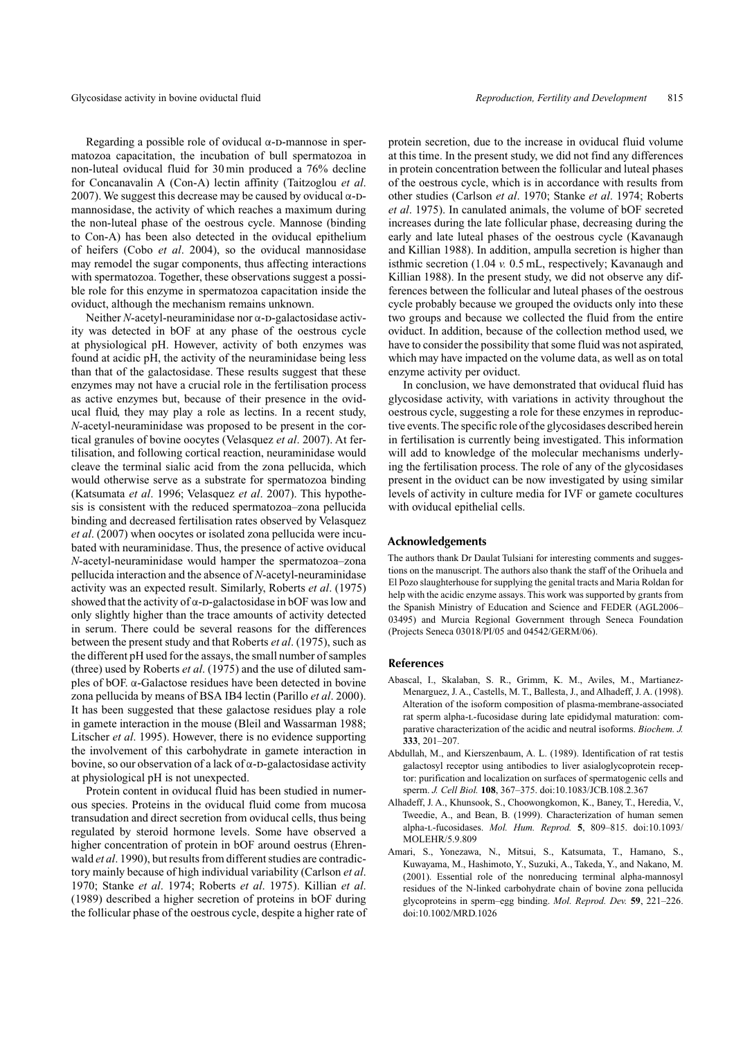Regarding a possible role of oviducal  $\alpha$ -D-mannose in spermatozoa capacitation, the incubation of bull spermatozoa in non-luteal oviducal fluid for 30 min produced a 76% decline for Concanavalin A (Con-A) lectin affinity (Taitzoglou *et al*. 2007). We suggest this decrease may be caused by oviducal  $\alpha$ -Dmannosidase, the activity of which reaches a maximum during the non-luteal phase of the oestrous cycle. Mannose (binding to Con-A) has been also detected in the oviducal epithelium of heifers (Cobo *et al*. 2004), so the oviducal mannosidase may remodel the sugar components, thus affecting interactions with spermatozoa. Together, these observations suggest a possible role for this enzyme in spermatozoa capacitation inside the oviduct, although the mechanism remains unknown.

Neither *N*-acetyl-neuraminidase nor α-D-galactosidase activity was detected in bOF at any phase of the oestrous cycle at physiological pH. However, activity of both enzymes was found at acidic pH, the activity of the neuraminidase being less than that of the galactosidase. These results suggest that these enzymes may not have a crucial role in the fertilisation process as active enzymes but, because of their presence in the oviducal fluid, they may play a role as lectins. In a recent study, *N*-acetyl-neuraminidase was proposed to be present in the cortical granules of bovine oocytes (Velasquez *et al*. 2007). At fertilisation, and following cortical reaction, neuraminidase would cleave the terminal sialic acid from the zona pellucida, which would otherwise serve as a substrate for spermatozoa binding (Katsumata *et al*. 1996; Velasquez *et al*. 2007). This hypothesis is consistent with the reduced spermatozoa–zona pellucida binding and decreased fertilisation rates observed by Velasquez *et al*. (2007) when oocytes or isolated zona pellucida were incubated with neuraminidase. Thus, the presence of active oviducal *N*-acetyl-neuraminidase would hamper the spermatozoa–zona pellucida interaction and the absence of *N*-acetyl-neuraminidase activity was an expected result. Similarly, Roberts *et al*. (1975) showed that the activity of  $\alpha$ -D-galactosidase in bOF was low and only slightly higher than the trace amounts of activity detected in serum. There could be several reasons for the differences between the present study and that Roberts *et al*. (1975), such as the different pH used for the assays, the small number of samples (three) used by Roberts *et al*. (1975) and the use of diluted samples of bOF. α-Galactose residues have been detected in bovine zona pellucida by means of BSA IB4 lectin (Parillo *et al*. 2000). It has been suggested that these galactose residues play a role in gamete interaction in the mouse (Bleil and Wassarman 1988; Litscher *et al*. 1995). However, there is no evidence supporting the involvement of this carbohydrate in gamete interaction in bovine, so our observation of a lack of  $\alpha$ -D-galactosidase activity at physiological pH is not unexpected.

Protein content in oviducal fluid has been studied in numerous species. Proteins in the oviducal fluid come from mucosa transudation and direct secretion from oviducal cells, thus being regulated by steroid hormone levels. Some have observed a higher concentration of protein in bOF around oestrus (Ehrenwald *et al*. 1990), but results from different studies are contradictory mainly because of high individual variability (Carlson *et al*. 1970; Stanke *et al*. 1974; Roberts *et al*. 1975). Killian *et al*. (1989) described a higher secretion of proteins in bOF during the follicular phase of the oestrous cycle, despite a higher rate of protein secretion, due to the increase in oviducal fluid volume at this time. In the present study, we did not find any differences in protein concentration between the follicular and luteal phases of the oestrous cycle, which is in accordance with results from other studies (Carlson *et al*. 1970; Stanke *et al*. 1974; Roberts *et al*. 1975). In canulated animals, the volume of bOF secreted increases during the late follicular phase, decreasing during the early and late luteal phases of the oestrous cycle (Kavanaugh and Killian 1988). In addition, ampulla secretion is higher than isthmic secretion (1.04 *v.* 0.5 mL, respectively; Kavanaugh and Killian 1988). In the present study, we did not observe any differences between the follicular and luteal phases of the oestrous cycle probably because we grouped the oviducts only into these two groups and because we collected the fluid from the entire oviduct. In addition, because of the collection method used, we have to consider the possibility that some fluid was not aspirated, which may have impacted on the volume data, as well as on total enzyme activity per oviduct.

In conclusion, we have demonstrated that oviducal fluid has glycosidase activity, with variations in activity throughout the oestrous cycle, suggesting a role for these enzymes in reproductive events.The specific role of the glycosidases described herein in fertilisation is currently being investigated. This information will add to knowledge of the molecular mechanisms underlying the fertilisation process. The role of any of the glycosidases present in the oviduct can be now investigated by using similar levels of activity in culture media for IVF or gamete cocultures with oviducal epithelial cells.

#### **Acknowledgements**

The authors thank Dr Daulat Tulsiani for interesting comments and suggestions on the manuscript. The authors also thank the staff of the Orihuela and El Pozo slaughterhouse for supplying the genital tracts and Maria Roldan for help with the acidic enzyme assays. This work was supported by grants from the Spanish Ministry of Education and Science and FEDER (AGL2006– 03495) and Murcia Regional Government through Seneca Foundation (Projects Seneca 03018/PI/05 and 04542/GERM/06).

#### **References**

- Abascal, I., Skalaban, S. R., Grimm, K. M., Aviles, M., Martianez-Menarguez, J. A., Castells, M. T., Ballesta, J., and Alhadeff, J. A. (1998). Alteration of the isoform composition of plasma-membrane-associated rat sperm alpha-l-fucosidase during late epididymal maturation: comparative characterization of the acidic and neutral isoforms. *Biochem. J.* **333**, 201–207.
- Abdullah, M., and Kierszenbaum, A. L. (1989). Identification of rat testis galactosyl receptor using antibodies to liver asialoglycoprotein receptor: purification and localization on surfaces of spermatogenic cells and sperm. *J. Cell Biol.* **108**, 367–375. doi:10.1083/JCB.108.2.367
- Alhadeff, J. A., Khunsook, S., Choowongkomon, K., Baney, T., Heredia, V., Tweedie, A., and Bean, B. (1999). Characterization of human semen alpha-l-fucosidases. *Mol. Hum. Reprod.* **5**, 809–815. doi:10.1093/ MOLEHR/5.9.809
- Amari, S., Yonezawa, N., Mitsui, S., Katsumata, T., Hamano, S., Kuwayama, M., Hashimoto, Y., Suzuki, A., Takeda, Y., and Nakano, M. (2001). Essential role of the nonreducing terminal alpha-mannosyl residues of the N-linked carbohydrate chain of bovine zona pellucida glycoproteins in sperm–egg binding. *Mol. Reprod. Dev.* **59**, 221–226. doi:10.1002/MRD.1026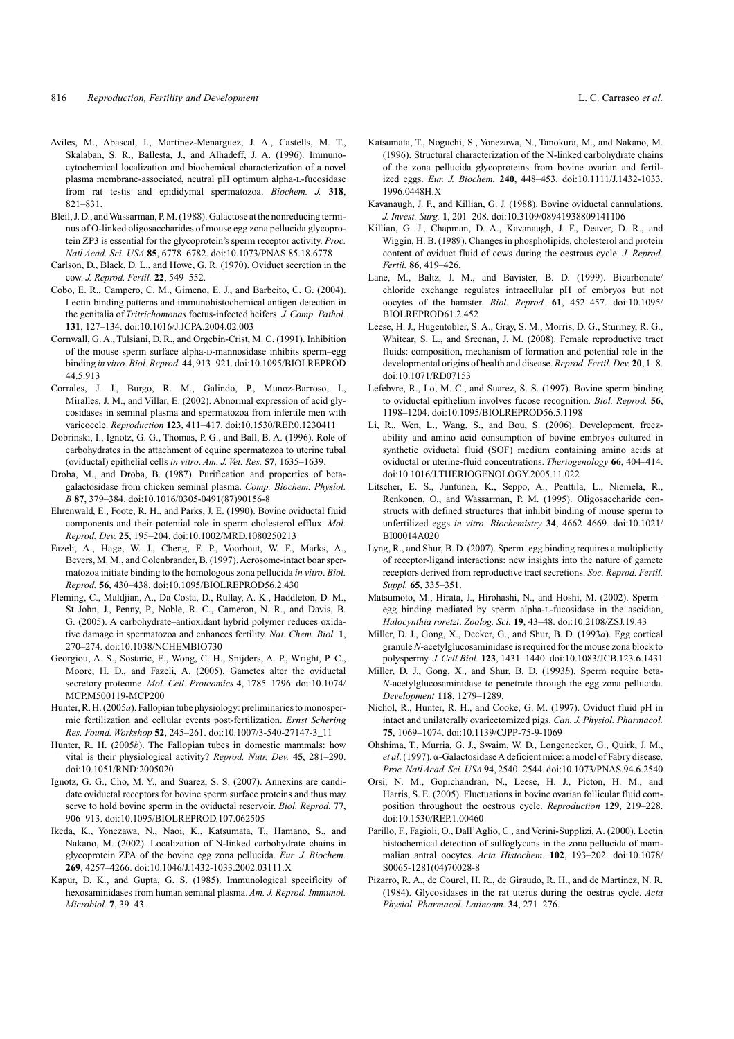- Aviles, M., Abascal, I., Martinez-Menarguez, J. A., Castells, M. T., Skalaban, S. R., Ballesta, J., and Alhadeff, J. A. (1996). Immunocytochemical localization and biochemical characterization of a novel plasma membrane-associated, neutral pH optimum alpha-l-fucosidase from rat testis and epididymal spermatozoa. *Biochem. J.* **318**, 821–831.
- Bleil, J. D., and Wassarman, P. M. (1988). Galactose at the nonreducing terminus of O-linked oligosaccharides of mouse egg zona pellucida glycoprotein ZP3 is essential for the glycoprotein's sperm receptor activity. *Proc. Natl Acad. Sci. USA* **85**, 6778–6782. doi:10.1073/PNAS.85.18.6778
- Carlson, D., Black, D. L., and Howe, G. R. (1970). Oviduct secretion in the cow. *J. Reprod. Fertil.* **22**, 549–552.
- Cobo, E. R., Campero, C. M., Gimeno, E. J., and Barbeito, C. G. (2004). Lectin binding patterns and immunohistochemical antigen detection in the genitalia of *Tritrichomonas* foetus-infected heifers. *J. Comp. Pathol.* **131**, 127–134. doi:10.1016/J.JCPA.2004.02.003
- Cornwall, G. A., Tulsiani, D. R., and Orgebin-Crist, M. C. (1991). Inhibition of the mouse sperm surface alpha-D-mannosidase inhibits sperm–egg binding *in vitro*. *Biol. Reprod.* **44**, 913–921. doi:10.1095/BIOLREPROD 44.5.913
- Corrales, J. J., Burgo, R. M., Galindo, P., Munoz-Barroso, I., Miralles, J. M., and Villar, E. (2002). Abnormal expression of acid glycosidases in seminal plasma and spermatozoa from infertile men with varicocele. *Reproduction* **123**, 411–417. doi:10.1530/REP.0.1230411
- Dobrinski, I., Ignotz, G. G., Thomas, P. G., and Ball, B. A. (1996). Role of carbohydrates in the attachment of equine spermatozoa to uterine tubal (oviductal) epithelial cells *in vitro*. *Am. J. Vet. Res.* **57**, 1635–1639.
- Droba, M., and Droba, B. (1987). Purification and properties of betagalactosidase from chicken seminal plasma. *Comp. Biochem. Physiol. B* **87**, 379–384. doi:10.1016/0305-0491(87)90156-8
- Ehrenwald, E., Foote, R. H., and Parks, J. E. (1990). Bovine oviductal fluid components and their potential role in sperm cholesterol efflux. *Mol. Reprod. Dev.* **25**, 195–204. doi:10.1002/MRD.1080250213
- Fazeli, A., Hage, W. J., Cheng, F. P., Voorhout, W. F., Marks, A., Bevers, M. M., and Colenbrander, B. (1997). Acrosome-intact boar spermatozoa initiate binding to the homologous zona pellucida *in vitro*. *Biol. Reprod.* **56**, 430–438. doi:10.1095/BIOLREPROD56.2.430
- Fleming, C., Maldjian, A., Da Costa, D., Rullay, A. K., Haddleton, D. M., St John, J., Penny, P., Noble, R. C., Cameron, N. R., and Davis, B. G. (2005). A carbohydrate–antioxidant hybrid polymer reduces oxidative damage in spermatozoa and enhances fertility. *Nat. Chem. Biol.* **1**, 270–274. doi:10.1038/NCHEMBIO730
- Georgiou, A. S., Sostaric, E., Wong, C. H., Snijders, A. P., Wright, P. C., Moore, H. D., and Fazeli, A. (2005). Gametes alter the oviductal secretory proteome. *Mol. Cell. Proteomics* **4**, 1785–1796. doi:10.1074/ MCP.M500119-MCP200
- Hunter, R. H. (2005*a*). Fallopian tube physiology: preliminaries to monospermic fertilization and cellular events post-fertilization. *Ernst Schering Res. Found. Workshop* **52**, 245–261. doi:10.1007/3-540-27147-3\_11
- Hunter, R. H. (2005*b*). The Fallopian tubes in domestic mammals: how vital is their physiological activity? *Reprod. Nutr. Dev.* **45**, 281–290. doi:10.1051/RND:2005020
- Ignotz, G. G., Cho, M. Y., and Suarez, S. S. (2007). Annexins are candidate oviductal receptors for bovine sperm surface proteins and thus may serve to hold bovine sperm in the oviductal reservoir. *Biol. Reprod.* **77**, 906–913. doi:10.1095/BIOLREPROD.107.062505
- Ikeda, K., Yonezawa, N., Naoi, K., Katsumata, T., Hamano, S., and Nakano, M. (2002). Localization of N-linked carbohydrate chains in glycoprotein ZPA of the bovine egg zona pellucida. *Eur. J. Biochem.* **269**, 4257–4266. doi:10.1046/J.1432-1033.2002.03111.X
- Kapur, D. K., and Gupta, G. S. (1985). Immunological specificity of hexosaminidases from human seminal plasma. *Am. J. Reprod. Immunol. Microbiol.* **7**, 39–43.
- Katsumata, T., Noguchi, S., Yonezawa, N., Tanokura, M., and Nakano, M. (1996). Structural characterization of the N-linked carbohydrate chains of the zona pellucida glycoproteins from bovine ovarian and fertilized eggs. *Eur. J. Biochem.* **240**, 448–453. doi:10.1111/J.1432-1033. 1996.0448H.X
- Kavanaugh, J. F., and Killian, G. J. (1988). Bovine oviductal cannulations. *J. Invest. Surg.* **1**, 201–208. doi:10.3109/08941938809141106
- Killian, G. J., Chapman, D. A., Kavanaugh, J. F., Deaver, D. R., and Wiggin, H. B. (1989). Changes in phospholipids, cholesterol and protein content of oviduct fluid of cows during the oestrous cycle. *J. Reprod. Fertil.* **86**, 419–426.
- Lane, M., Baltz, J. M., and Bavister, B. D. (1999). Bicarbonate/ chloride exchange regulates intracellular pH of embryos but not oocytes of the hamster. *Biol. Reprod.* **61**, 452–457. doi:10.1095/ BIOLREPROD61.2.452
- Leese, H. J., Hugentobler, S. A., Gray, S. M., Morris, D. G., Sturmey, R. G., Whitear, S. L., and Sreenan, J. M. (2008). Female reproductive tract fluids: composition, mechanism of formation and potential role in the developmental origins of health and disease. *Reprod. Fertil. Dev.* **20**, 1–8. doi:10.1071/RD07153
- Lefebvre, R., Lo, M. C., and Suarez, S. S. (1997). Bovine sperm binding to oviductal epithelium involves fucose recognition. *Biol. Reprod.* **56**, 1198–1204. doi:10.1095/BIOLREPROD56.5.1198
- Li, R., Wen, L., Wang, S., and Bou, S. (2006). Development, freezability and amino acid consumption of bovine embryos cultured in synthetic oviductal fluid (SOF) medium containing amino acids at oviductal or uterine-fluid concentrations. *Theriogenology* **66**, 404–414. doi:10.1016/J.THERIOGENOLOGY.2005.11.022
- Litscher, E. S., Juntunen, K., Seppo, A., Penttila, L., Niemela, R., Renkonen, O., and Wassarman, P. M. (1995). Oligosaccharide constructs with defined structures that inhibit binding of mouse sperm to unfertilized eggs *in vitro*. *Biochemistry* **34**, 4662–4669. doi:10.1021/ BI00014A020
- Lyng, R., and Shur, B. D. (2007). Sperm–egg binding requires a multiplicity of receptor-ligand interactions: new insights into the nature of gamete receptors derived from reproductive tract secretions. *Soc. Reprod. Fertil. Suppl.* **65**, 335–351.
- Matsumoto, M., Hirata, J., Hirohashi, N., and Hoshi, M. (2002). Sperm– egg binding mediated by sperm alpha-l-fucosidase in the ascidian, *Halocynthia roretzi*. *Zoolog. Sci.* **19**, 43–48. doi:10.2108/ZSJ.19.43
- Miller, D. J., Gong, X., Decker, G., and Shur, B. D. (1993*a*). Egg cortical granule *N*-acetylglucosaminidase is required for the mouse zona block to polyspermy. *J. Cell Biol.* **123**, 1431–1440. doi:10.1083/JCB.123.6.1431
- Miller, D. J., Gong, X., and Shur, B. D. (1993*b*). Sperm require beta-*N*-acetylglucosaminidase to penetrate through the egg zona pellucida. *Development* **118**, 1279–1289.
- Nichol, R., Hunter, R. H., and Cooke, G. M. (1997). Oviduct fluid pH in intact and unilaterally ovariectomized pigs. *Can. J. Physiol. Pharmacol.* **75**, 1069–1074. doi:10.1139/CJPP-75-9-1069
- Ohshima, T., Murria, G. J., Swaim, W. D., Longenecker, G., Quirk, J. M., *et al*. (1997). α-GalactosidaseA deficient mice: a model of Fabry disease. *Proc. NatlAcad. Sci. USA* **94**, 2540–2544. doi:10.1073/PNAS.94.6.2540
- Orsi, N. M., Gopichandran, N., Leese, H. J., Picton, H. M., and Harris, S. E. (2005). Fluctuations in bovine ovarian follicular fluid composition throughout the oestrous cycle. *Reproduction* **129**, 219–228. doi:10.1530/REP.1.00460
- Parillo, F., Fagioli, O., Dall'Aglio, C., and Verini-Supplizi, A. (2000). Lectin histochemical detection of sulfoglycans in the zona pellucida of mammalian antral oocytes. *Acta Histochem.* **102**, 193–202. doi:10.1078/ S0065-1281(04)70028-8
- Pizarro, R. A., de Courel, H. R., de Giraudo, R. H., and de Martinez, N. R. (1984). Glycosidases in the rat uterus during the oestrus cycle. *Acta Physiol. Pharmacol. Latinoam.* **34**, 271–276.